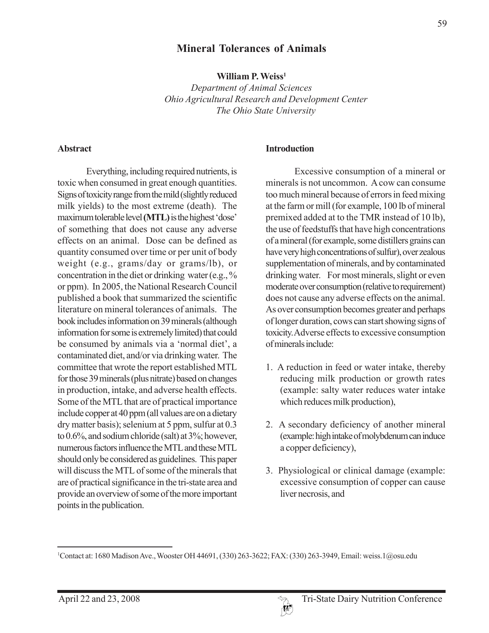# **Mineral Tolerances of Animals**

**William P. Weiss1**

*Department of Animal Sciences Ohio Agricultural Research and Development Center The Ohio State University*

#### **Abstract**

Everything, including required nutrients, is toxic when consumed in great enough quantities. Signs of toxicity range from the mild (slightly reduced milk yields) to the most extreme (death). The maximum tolerable level **(MTL)** is the highest 'dose' of something that does not cause any adverse effects on an animal. Dose can be defined as quantity consumed over time or per unit of body weight (e.g., grams/day or grams/lb), or concentration in the diet or drinking water (e.g., % or ppm). In 2005, the National Research Council published a book that summarized the scientific literature on mineral tolerances of animals. The book includes information on 39 minerals (although information for some is extremely limited) that could be consumed by animals via a 'normal diet', a contaminated diet, and/or via drinking water. The committee that wrote the report established MTL for those 39 minerals (plus nitrate) based on changes in production, intake, and adverse health effects. Some of the MTL that are of practical importance include copper at 40 ppm (all values are on a dietary dry matter basis); selenium at 5 ppm, sulfur at 0.3 to 0.6%, and sodium chloride (salt) at 3%; however, numerous factors influence the MTL and these MTL should only be considered as guidelines. This paper will discuss the MTL of some of the minerals that are of practical significance in the tri-state area and provide an overview of some of the more important points in the publication.

#### **Introduction**

Excessive consumption of a mineral or minerals is not uncommon. A cow can consume too much mineral because of errors in feed mixing at the farm or mill (for example, 100 lb of mineral premixed added at to the TMR instead of 10 lb), the use of feedstuffs that have high concentrations of a mineral (for example, some distillers grains can have very high concentrations of sulfur), over zealous supplementation of minerals, and by contaminated drinking water. For most minerals, slight or even moderate over consumption (relative to requirement) does not cause any adverse effects on the animal. As over consumption becomes greater and perhaps of longer duration, cows can start showing signs of toxicity.Adverse effects to excessive consumption of minerals include:

- 1. A reduction in feed or water intake, thereby reducing milk production or growth rates (example: salty water reduces water intake which reduces milk production),
- 2. A secondary deficiency of another mineral (example: high intake of molybdenum can induce a copper deficiency),
- 3. Physiological or clinical damage (example: excessive consumption of copper can cause liver necrosis, and

<sup>1</sup> Contact at: 1680 Madison Ave., Wooster OH 44691, (330) 263-3622; FAX: (330) 263-3949, Email: weiss.1@osu.edu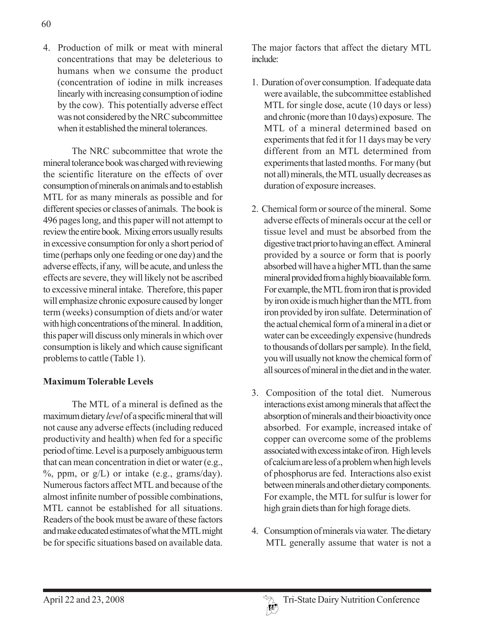4. Production of milk or meat with mineral concentrations that may be deleterious to humans when we consume the product (concentration of iodine in milk increases linearly with increasing consumption of iodine by the cow). This potentially adverse effect was not considered by the NRC subcommittee when it established the mineral tolerances.

The NRC subcommittee that wrote the mineral tolerance book was charged with reviewing the scientific literature on the effects of over consumption of minerals on animals and to establish MTL for as many minerals as possible and for different species or classes of animals. The book is 496 pages long, and this paper will not attempt to review the entire book. Mixing errors usually results in excessive consumption for only a short period of time (perhaps only one feeding or one day) and the adverse effects, if any, will be acute, and unless the effects are severe, they will likely not be ascribed to excessive mineral intake. Therefore, this paper will emphasize chronic exposure caused by longer term (weeks) consumption of diets and/or water with high concentrations of the mineral. In addition, this paper will discuss only minerals in which over consumption is likely and which cause significant problems to cattle (Table 1).

## **Maximum Tolerable Levels**

The MTL of a mineral is defined as the maximum dietary *level* of a specific mineral that will not cause any adverse effects (including reduced productivity and health) when fed for a specific period of time. Level is a purposely ambiguous term that can mean concentration in diet or water (e.g.,  $%$ , ppm, or  $g/L$ ) or intake (e.g., grams/day). Numerous factors affect MTL and because of the almost infinite number of possible combinations, MTL cannot be established for all situations. Readers of the book must be aware of these factors and make educated estimates of what the MTL might be for specific situations based on available data.

The major factors that affect the dietary MTL include:

- 1. Duration of over consumption. If adequate data were available, the subcommittee established MTL for single dose, acute (10 days or less) and chronic (more than 10 days) exposure. The MTL of a mineral determined based on experiments that fed it for 11 days may be very different from an MTL determined from experiments that lasted months. For many (but not all) minerals, the MTL usually decreases as duration of exposure increases.
- 2. Chemical form or source of the mineral. Some adverse effects of minerals occur at the cell or tissue level and must be absorbed from the digestive tract prior to having an effect. A mineral provided by a source or form that is poorly absorbed will have a higher MTL than the same mineral provided from a highly bioavailable form. For example, the MTL from iron that is provided by iron oxide is much higher than the MTL from iron provided by iron sulfate. Determination of the actual chemical form of a mineral in a diet or water can be exceedingly expensive (hundreds to thousands of dollars per sample). In the field, you will usually not know the chemical form of all sources of mineral in the diet and in the water.
- 3. Composition of the total diet. Numerous interactions exist among minerals that affect the absorption of minerals and their bioactivity once absorbed. For example, increased intake of copper can overcome some of the problems associated with excess intake of iron. High levels of calcium are less of a problem when high levels of phosphorus are fed. Interactions also exist between minerals and other dietary components. For example, the MTL for sulfur is lower for high grain diets than for high forage diets.
- 4. Consumption of minerals via water. The dietary MTL generally assume that water is not a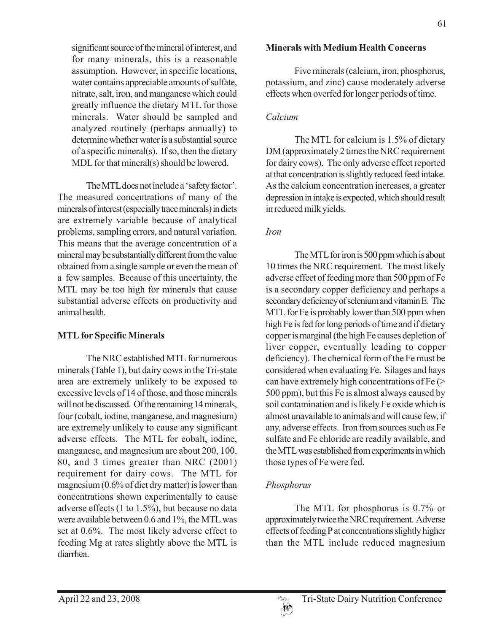significant source of the mineral of interest, and for many minerals, this is a reasonable assumption. However, in specific locations, water contains appreciable amounts of sulfate, nitrate, salt, iron, and manganese which could greatly influence the dietary MTL for those minerals. Water should be sampled and analyzed routinely (perhaps annually) to determine whether water is a substantial source of a specific mineral(s). If so, then the dietary MDL for that mineral(s) should be lowered.

The MTL does not include a 'safety factor'. The measured concentrations of many of the minerals of interest (especially trace minerals) in diets are extremely variable because of analytical problems, sampling errors, and natural variation. This means that the average concentration of a mineral may be substantially different from the value obtained from a single sample or even the mean of a few samples. Because of this uncertainty, the MTL may be too high for minerals that cause substantial adverse effects on productivity and animal health.

## **MTL for Specific Minerals**

The NRC established MTL for numerous minerals (Table 1), but dairy cows in the Tri-state area are extremely unlikely to be exposed to excessive levels of 14 of those, and those minerals will not be discussed. Of the remaining 14 minerals, four (cobalt, iodine, manganese, and magnesium) are extremely unlikely to cause any significant adverse effects. The MTL for cobalt, iodine, manganese, and magnesium are about 200, 100, 80, and 3 times greater than NRC (2001) requirement for dairy cows. The MTL for magnesium (0.6% of diet dry matter) is lower than concentrations shown experimentally to cause adverse effects (1 to 1.5%), but because no data were available between 0.6 and 1%, the MTL was set at 0.6%. The most likely adverse effect to feeding Mg at rates slightly above the MTL is diarrhea.

# **Minerals with Medium Health Concerns**

Five minerals (calcium, iron, phosphorus, potassium, and zinc) cause moderately adverse effects when overfed for longer periods of time.

# *Calcium*

The MTL for calcium is 1.5% of dietary DM (approximately 2 times the NRC requirement for dairy cows). The only adverse effect reported at that concentration is slightly reduced feed intake. As the calcium concentration increases, a greater depression in intake is expected, which should result in reduced milk yields.

# *Iron*

The MTL for iron is 500 ppm which is about 10 times the NRC requirement. The most likely adverse effect of feeding more than 500 ppm of Fe is a secondary copper deficiency and perhaps a secondary deficiency of selenium and vitamin E. The MTL for Fe is probably lower than 500 ppm when high Fe is fed for long periods of time and if dietary copper is marginal (the high Fe causes depletion of liver copper, eventually leading to copper deficiency). The chemical form of the Fe must be considered when evaluating Fe. Silages and hays can have extremely high concentrations of Fe (> 500 ppm), but this Fe is almost always caused by soil contamination and is likely Fe oxide which is almost unavailable to animals and will cause few, if any, adverse effects. Iron from sources such as Fe sulfate and Fe chloride are readily available, and the MTL was established from experiments in which those types of Fe were fed.

# *Phosphorus*

The MTL for phosphorus is 0.7% or approximately twice the NRC requirement. Adverse effects of feeding P at concentrations slightly higher than the MTL include reduced magnesium

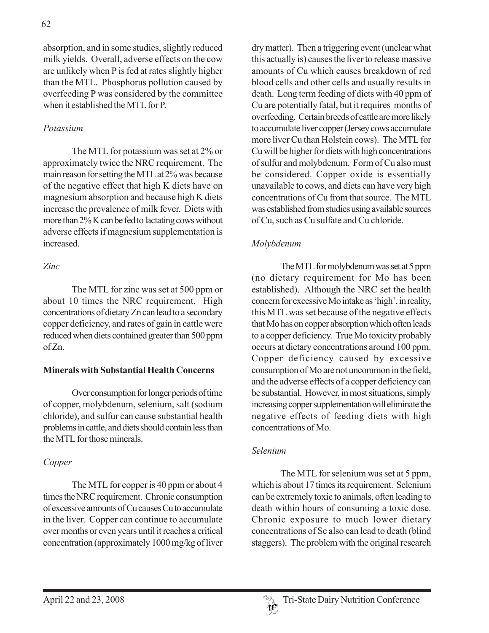absorption, and in some studies, slightly reduced milk yields. Overall, adverse effects on the cow are unlikely when P is fed at rates slightly higher than the MTL. Phosphorus pollution caused by overfeeding P was considered by the committee when it established the MTL for P.

# *Potassium*

The MTL for potassium was set at 2% or approximately twice the NRC requirement. The main reason for setting the MTL at 2% was because of the negative effect that high K diets have on magnesium absorption and because high K diets increase the prevalence of milk fever. Diets with more than 2% K can be fed to lactating cows without adverse effects if magnesium supplementation is increased.

# *Zinc*

The MTL for zinc was set at 500 ppm or about 10 times the NRC requirement. High concentrations of dietary Zn can lead to a secondary copper deficiency, and rates of gain in cattle were reduced when diets contained greater than 500 ppm of Zn.

## **Minerals with Substantial Health Concerns**

Over consumption for longer periods of time of copper, molybdenum, selenium, salt (sodium chloride), and sulfur can cause substantial health problems in cattle, and diets should contain less than the MTL for those minerals.

# *Copper*

The MTL for copper is 40 ppm or about 4 times the NRC requirement. Chronic consumption of excessive amounts of Cu causes Cu to accumulate in the liver. Copper can continue to accumulate over months or even years until it reaches a critical concentration (approximately 1000 mg/kg of liver

dry matter). Then a triggering event (unclear what this actually is) causes the liver to release massive amounts of Cu which causes breakdown of red blood cells and other cells and usually results in death. Long term feeding of diets with 40 ppm of Cu are potentially fatal, but it requires months of overfeeding. Certain breeds of cattle are more likely to accumulate liver copper (Jersey cows accumulate more liver Cu than Holstein cows). The MTL for Cu will be higher for diets with high concentrations of sulfur and molybdenum. Form of Cu also must be considered. Copper oxide is essentially unavailable to cows, and diets can have very high concentrations of Cu from that source. The MTL was established from studies using available sources of Cu, such as Cu sulfate and Cu chloride.

# *Molybdenum*

The MTL for molybdenum was set at 5 ppm (no dietary requirement for Mo has been established). Although the NRC set the health concern for excessive Mo intake as 'high', in reality, this MTL was set because of the negative effects that Mo has on copper absorption which often leads to a copper deficiency. True Mo toxicity probably occurs at dietary concentrations around 100 ppm. Copper deficiency caused by excessive consumption of Mo are not uncommon in the field, and the adverse effects of a copper deficiency can be substantial. However, in most situations, simply increasing copper supplementation will eliminate the negative effects of feeding diets with high concentrations of Mo.

## *Selenium*

The MTL for selenium was set at 5 ppm, which is about 17 times its requirement. Selenium can be extremely toxic to animals, often leading to death within hours of consuming a toxic dose. Chronic exposure to much lower dietary concentrations of Se also can lead to death (blind staggers). The problem with the original research

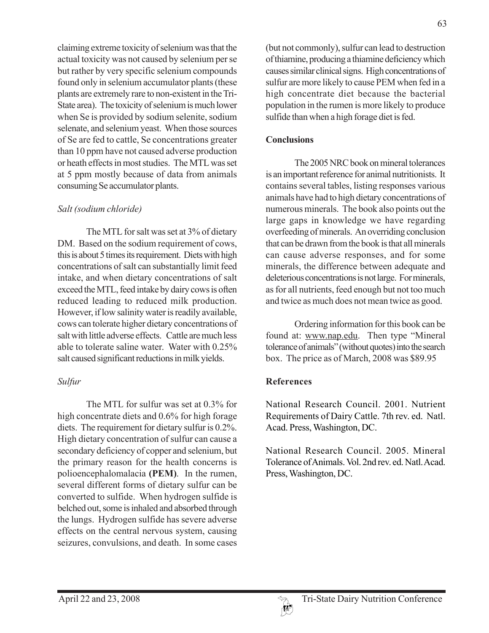claiming extreme toxicity of selenium was that the actual toxicity was not caused by selenium per se but rather by very specific selenium compounds found only in selenium accumulator plants (these plants are extremely rare to non-existent in the Tri-State area). The toxicity of selenium is much lower when Se is provided by sodium selenite, sodium selenate, and selenium yeast. When those sources of Se are fed to cattle, Se concentrations greater than 10 ppm have not caused adverse production or heath effects in most studies. The MTL was set at 5 ppm mostly because of data from animals consuming Se accumulator plants.

#### *Salt (sodium chloride)*

The MTL for salt was set at 3% of dietary DM. Based on the sodium requirement of cows, this is about 5 times its requirement. Diets with high concentrations of salt can substantially limit feed intake, and when dietary concentrations of salt exceed the MTL, feed intake by dairy cows is often reduced leading to reduced milk production. However, if low salinity water is readily available, cows can tolerate higher dietary concentrations of salt with little adverse effects. Cattle are much less able to tolerate saline water. Water with 0.25% salt caused significant reductions in milk yields.

## *Sulfur*

The MTL for sulfur was set at 0.3% for high concentrate diets and 0.6% for high forage diets. The requirement for dietary sulfur is 0.2%. High dietary concentration of sulfur can cause a secondary deficiency of copper and selenium, but the primary reason for the health concerns is polioencephalomalacia **(PEM)**. In the rumen, several different forms of dietary sulfur can be converted to sulfide. When hydrogen sulfide is belched out, some is inhaled and absorbed through the lungs. Hydrogen sulfide has severe adverse effects on the central nervous system, causing seizures, convulsions, and death. In some cases

(but not commonly), sulfur can lead to destruction of thiamine, producing a thiamine deficiency which causes similar clinical signs. High concentrations of sulfur are more likely to cause PEM when fed in a high concentrate diet because the bacterial population in the rumen is more likely to produce sulfide than when a high forage diet is fed.

#### **Conclusions**

The 2005 NRC book on mineral tolerances is an important reference for animal nutritionists. It contains several tables, listing responses various animals have had to high dietary concentrations of numerous minerals. The book also points out the large gaps in knowledge we have regarding overfeeding of minerals. An overriding conclusion that can be drawn from the book is that all minerals can cause adverse responses, and for some minerals, the difference between adequate and deleterious concentrations is not large. For minerals, as for all nutrients, feed enough but not too much and twice as much does not mean twice as good.

Ordering information for this book can be found at: www.nap.edu. Then type "Mineral tolerance of animals" (without quotes) into the search box. The price as of March, 2008 was \$89.95

## **References**

National Research Council. 2001. Nutrient Requirements of Dairy Cattle. 7th rev. ed. Natl. Acad. Press, Washington, DC.

National Research Council. 2005. Mineral Tolerance of Animals. Vol. 2nd rev. ed. Natl. Acad. Press, Washington, DC.